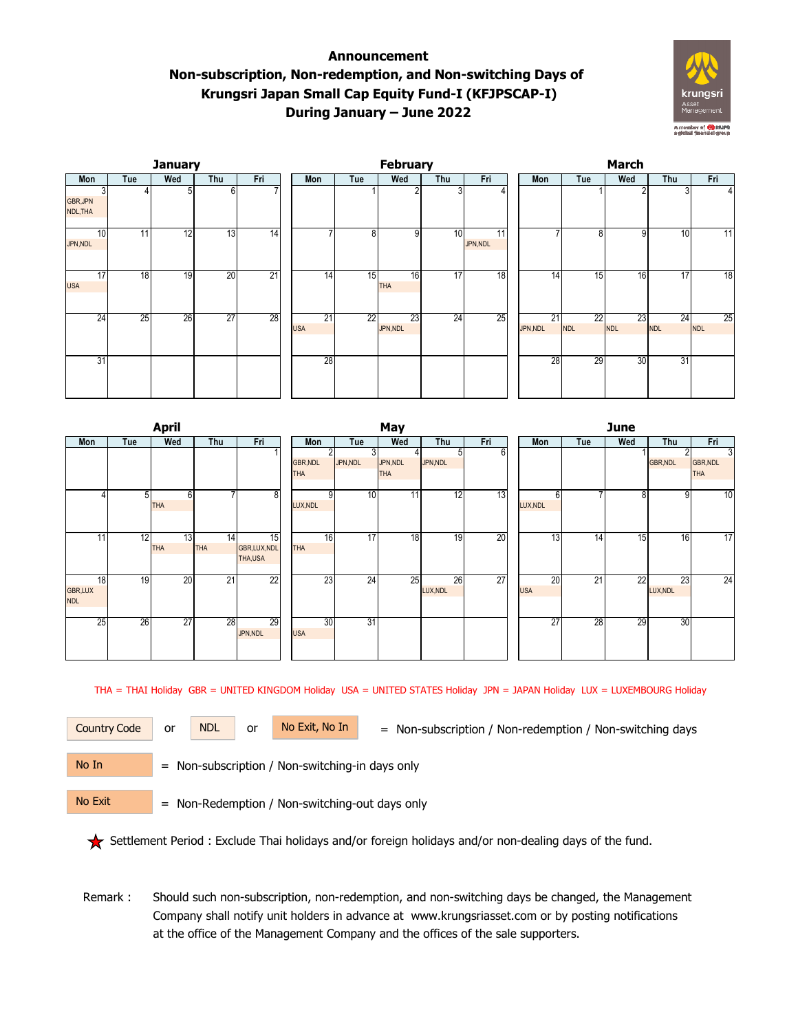## **Announcement Non-subscription, Non-redemption, and Non-switching Days of Krungsri Japan Small Cap Equity Fund-I (KFJPSCAP-I) During January – June 2022**



|                           |                 | <b>January</b>  |                 |                 |                  |     | February         |     |                            | <b>March</b> |                 |                               |                  |                  |                  |  |
|---------------------------|-----------------|-----------------|-----------------|-----------------|------------------|-----|------------------|-----|----------------------------|--------------|-----------------|-------------------------------|------------------|------------------|------------------|--|
| Mon                       | Tue             | Wed             | Thu             | Fri             | Mon              | Tue | Wed              | Thu | Fri                        |              | Mon             | Tue                           | Wed              | Thu              | Fri              |  |
| 3<br>GBR, JPN<br>NDL, THA |                 | 5               | 6               |                 |                  |     |                  | 3   |                            |              |                 |                               | 2                |                  |                  |  |
| 10<br>JPN,NDL             | 11              | 12              | 13              | $\overline{14}$ |                  | 8   | 9                | 10  | $\overline{11}$<br>JPN,NDL |              |                 | 8                             | 9                | 10               | 11               |  |
| 17<br><b>USA</b>          | 18 <sub>1</sub> | $\overline{19}$ | $\overline{20}$ | 21              | 14               | 15  | 16<br><b>THA</b> | 17  | $\overline{18}$            |              | 14 <sub>1</sub> | 15                            | 16               | 17               | 18               |  |
| 24                        | 25              | 26              | $\overline{27}$ | 28              | 21<br><b>USA</b> | 22  | 23<br>JPN,NDL    | 24  | 25                         |              | 21<br>JPN,NDL   | $\overline{22}$<br><b>NDL</b> | 23<br><b>NDL</b> | 24<br><b>NDL</b> | 25<br><b>NDL</b> |  |
| 31                        |                 |                 |                 |                 | $\overline{28}$  |     |                  |     |                            |              | 28              | 29                            | 30               | 31               |                  |  |

|                                    |     | <b>April</b>     |                  |                              | May                           |                |              |                        |                |     |  |                  | <b>June</b>              |     |                 |                             |  |  |  |
|------------------------------------|-----|------------------|------------------|------------------------------|-------------------------------|----------------|--------------|------------------------|----------------|-----|--|------------------|--------------------------|-----|-----------------|-----------------------------|--|--|--|
| Mon                                | Tue | Wed              | Thu              | Fri                          | Mon                           |                | Tue          | Wed                    | Thu            | Fri |  | Mon              | Tue                      | Wed | Thu             | Fri                         |  |  |  |
|                                    |     |                  |                  |                              | <b>GBR, NDL</b><br><b>THA</b> | $\overline{2}$ | 3<br>JPN,NDL | JPN, NDL<br><b>THA</b> | 51<br>JPN,NDL  | 6   |  |                  |                          |     | <b>GBR, NDL</b> | 3<br>GBR, NDL<br><b>THA</b> |  |  |  |
|                                    | 51  | 6<br><b>THA</b>  |                  | $\overline{8}$               | LUX, NDL                      | 9              | 10           | 11                     | 12             | 13  |  | 6<br>LUX, NDL    | $\overline{\phantom{a}}$ | 8   | 9               | 10                          |  |  |  |
| 11 <sub>1</sub>                    | 12  | 13<br><b>THA</b> | 14<br><b>THA</b> | 15<br>GBR,LUX,NDL<br>THA,USA | <b>THA</b>                    | 16             | 17           | 18                     | 19             | 20  |  | 13               | $\overline{14}$          | 15  | 16              | 17                          |  |  |  |
| 18<br><b>GBR,LUX</b><br><b>NDL</b> | 19  | 20               | 21               | 22                           |                               | 23             | 24           | 25                     | 26<br>LUX, NDL | 27  |  | 20<br><b>USA</b> | $\overline{21}$          | 22  | 23<br>LUX, NDL  | 24                          |  |  |  |
| 25                                 | 26  | 27               | 28               | 29<br>JPN,NDL                | <b>USA</b>                    | 30             | 31           |                        |                |     |  | 27               | 28                       | 29  | 30              |                             |  |  |  |

THA = THAI Holiday GBR = UNITED KINGDOM Holiday USA = UNITED STATES Holiday JPN = JAPAN Holiday LUX = LUXEMBOURG Holiday

Country Code or NDL or No Exit, No In = Non-subscription / Non-redemption / Non-switching days

No In

or NDL or

No Exit

= Non-subscription / Non-switching-in days only

= Non-Redemption / Non-switching-out days only

Settlement Period : Exclude Thai holidays and/or foreign holidays and/or non-dealing days of the fund.

 Remark : Should such non-subscription, non-redemption, and non-switching days be changed, the Management Company shall notify unit holders in advance at www.krungsriasset.com or by posting notifications at the office of the Management Company and the offices of the sale supporters.